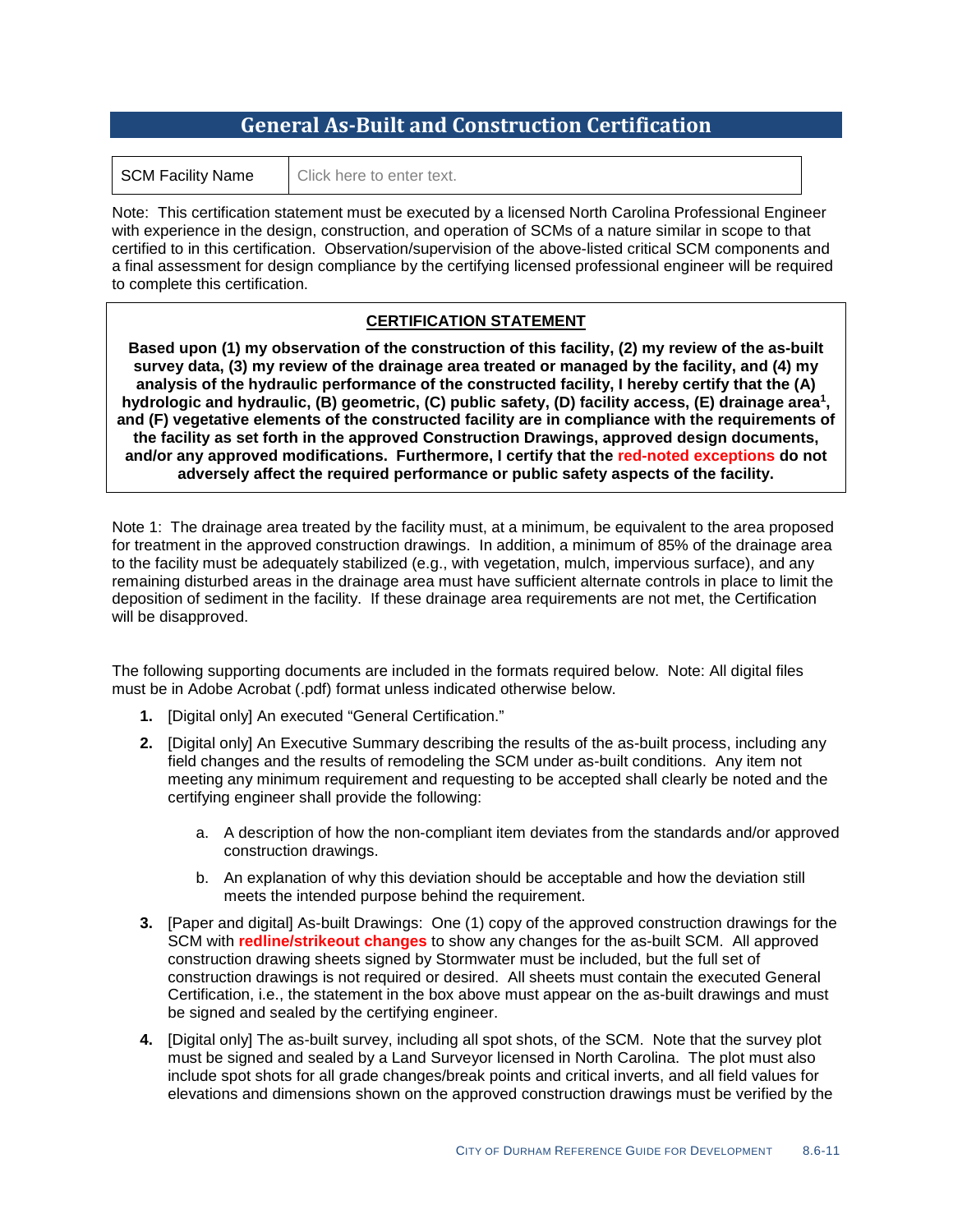## **General As-Built and Construction Certification**

| <b>SCM Facility Name</b> |  |
|--------------------------|--|
|                          |  |

 $e$   $\Box$  Click here to enter text.

Note: This certification statement must be executed by a licensed North Carolina Professional Engineer with experience in the design, construction, and operation of SCMs of a nature similar in scope to that certified to in this certification. Observation/supervision of the above-listed critical SCM components and a final assessment for design compliance by the certifying licensed professional engineer will be required to complete this certification.

## **CERTIFICATION STATEMENT**

**Based upon (1) my observation of the construction of this facility, (2) my review of the as-built survey data, (3) my review of the drainage area treated or managed by the facility, and (4) my analysis of the hydraulic performance of the constructed facility, I hereby certify that the (A) hydrologic and hydraulic, (B) geometric, (C) public safety, (D) facility access, (E) drainage area1, and (F) vegetative elements of the constructed facility are in compliance with the requirements of the facility as set forth in the approved Construction Drawings, approved design documents, and/or any approved modifications. Furthermore, I certify that the red-noted exceptions do not adversely affect the required performance or public safety aspects of the facility.**

Note 1: The drainage area treated by the facility must, at a minimum, be equivalent to the area proposed for treatment in the approved construction drawings. In addition, a minimum of 85% of the drainage area to the facility must be adequately stabilized (e.g., with vegetation, mulch, impervious surface), and any remaining disturbed areas in the drainage area must have sufficient alternate controls in place to limit the deposition of sediment in the facility. If these drainage area requirements are not met, the Certification will be disapproved.

The following supporting documents are included in the formats required below. Note: All digital files must be in Adobe Acrobat (.pdf) format unless indicated otherwise below.

- **1.** [Digital only] An executed "General Certification."
- **2.** [Digital only] An Executive Summary describing the results of the as-built process, including any field changes and the results of remodeling the SCM under as-built conditions. Any item not meeting any minimum requirement and requesting to be accepted shall clearly be noted and the certifying engineer shall provide the following:
	- a. A description of how the non-compliant item deviates from the standards and/or approved construction drawings.
	- b. An explanation of why this deviation should be acceptable and how the deviation still meets the intended purpose behind the requirement.
- **3.** [Paper and digital] As-built Drawings: One (1) copy of the approved construction drawings for the SCM with **redline/strikeout changes** to show any changes for the as-built SCM. All approved construction drawing sheets signed by Stormwater must be included, but the full set of construction drawings is not required or desired. All sheets must contain the executed General Certification, i.e., the statement in the box above must appear on the as-built drawings and must be signed and sealed by the certifying engineer.
- **4.** [Digital only] The as-built survey, including all spot shots, of the SCM. Note that the survey plot must be signed and sealed by a Land Surveyor licensed in North Carolina. The plot must also include spot shots for all grade changes/break points and critical inverts, and all field values for elevations and dimensions shown on the approved construction drawings must be verified by the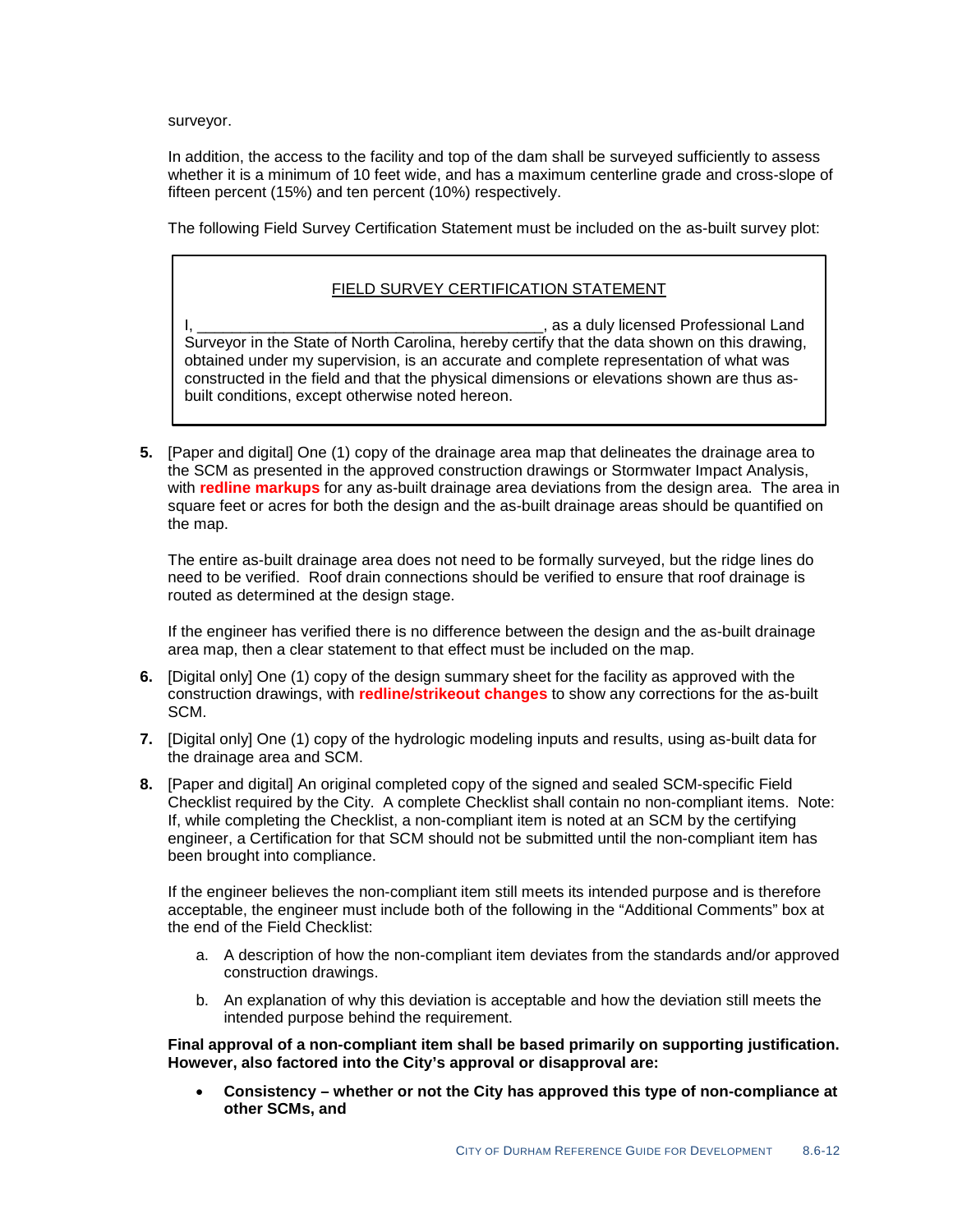surveyor.

In addition, the access to the facility and top of the dam shall be surveyed sufficiently to assess whether it is a minimum of 10 feet wide, and has a maximum centerline grade and cross-slope of fifteen percent (15%) and ten percent (10%) respectively.

The following Field Survey Certification Statement must be included on the as-built survey plot:

## FIELD SURVEY CERTIFICATION STATEMENT

L, as a duly licensed Professional Land Surveyor in the State of North Carolina, hereby certify that the data shown on this drawing, obtained under my supervision, is an accurate and complete representation of what was constructed in the field and that the physical dimensions or elevations shown are thus asbuilt conditions, except otherwise noted hereon.

**5.** [Paper and digital] One (1) copy of the drainage area map that delineates the drainage area to the SCM as presented in the approved construction drawings or Stormwater Impact Analysis, with **redline markups** for any as-built drainage area deviations from the design area. The area in square feet or acres for both the design and the as-built drainage areas should be quantified on the map.

The entire as-built drainage area does not need to be formally surveyed, but the ridge lines do need to be verified. Roof drain connections should be verified to ensure that roof drainage is routed as determined at the design stage.

If the engineer has verified there is no difference between the design and the as-built drainage area map, then a clear statement to that effect must be included on the map.

- **6.** [Digital only] One (1) copy of the design summary sheet for the facility as approved with the construction drawings, with **redline/strikeout changes** to show any corrections for the as-built SCM.
- **7.** [Digital only] One (1) copy of the hydrologic modeling inputs and results, using as-built data for the drainage area and SCM.
- **8.** [Paper and digital] An original completed copy of the signed and sealed SCM-specific Field Checklist required by the City. A complete Checklist shall contain no non-compliant items. Note: If, while completing the Checklist, a non-compliant item is noted at an SCM by the certifying engineer, a Certification for that SCM should not be submitted until the non-compliant item has been brought into compliance.

If the engineer believes the non-compliant item still meets its intended purpose and is therefore acceptable, the engineer must include both of the following in the "Additional Comments" box at the end of the Field Checklist:

- a. A description of how the non-compliant item deviates from the standards and/or approved construction drawings.
- b. An explanation of why this deviation is acceptable and how the deviation still meets the intended purpose behind the requirement.

**Final approval of a non-compliant item shall be based primarily on supporting justification. However, also factored into the City's approval or disapproval are:**

• **Consistency – whether or not the City has approved this type of non-compliance at other SCMs, and**